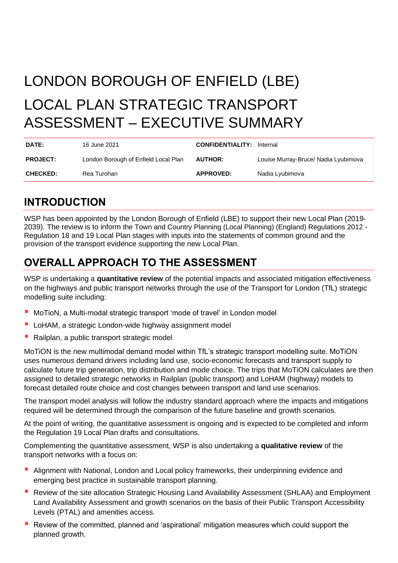# LONDON BOROUGH OF ENFIELD (LBE) LOCAL PLAN STRATEGIC TRANSPORT ASSESSMENT – EXECUTIVE SUMMARY

| DATE:           | 16 June 2021                         | <b>CONFIDENTIALITY: Internal</b> |                                      |
|-----------------|--------------------------------------|----------------------------------|--------------------------------------|
| <b>PROJECT:</b> | London Borough of Enfield Local Plan | <b>AUTHOR:</b>                   | Louise Murray-Bruce/ Nadia Lyubimova |
| <b>CHECKED:</b> | Rea Turohan                          | <b>APPROVED:</b>                 | Nadia Lyubimova                      |

### **INTRODUCTION**

WSP has been appointed by the London Borough of Enfield (LBE) to support their new Local Plan (2019- 2039). The review is to inform the Town and Country Planning (Local Planning) (England) Regulations 2012 - Regulation 18 and 19 Local Plan stages with inputs into the statements of common ground and the provision of the transport evidence supporting the new Local Plan.

# **OVERALL APPROACH TO THE ASSESSMENT**

WSP is undertaking a **quantitative review** of the potential impacts and associated mitigation effectiveness on the highways and public transport networks through the use of the Transport for London (TfL) strategic modelling suite including:

- MoTioN, a Multi-modal strategic transport 'mode of travel' in London model
- LoHAM, a strategic London-wide highway assignment model
- Railplan, a public transport strategic model

MoTiON is the new multimodal demand model within TfL's strategic transport modelling suite. MoTiON uses numerous demand drivers including land use, socio-economic forecasts and transport supply to calculate future trip generation, trip distribution and mode choice. The trips that MoTiON calculates are then assigned to detailed strategic networks in Railplan (public transport) and LoHAM (highway) models to forecast detailed route choice and cost changes between transport and land use scenarios.

The transport model analysis will follow the industry standard approach where the impacts and mitigations required will be determined through the comparison of the future baseline and growth scenarios.

At the point of writing, the quantitative assessment is ongoing and is expected to be completed and inform the Regulation 19 Local Plan drafts and consultations.

Complementing the quantitative assessment, WSP is also undertaking a **qualitative review** of the transport networks with a focus on:

- **Alignment with National, London and Local policy frameworks, their underpinning evidence and** emerging best practice in sustainable transport planning.
- Review of the site allocation Strategic Housing Land Availability Assessment (SHLAA) and Employment Land Availability Assessment and growth scenarios on the basis of their Public Transport Accessibility Levels (PTAL) and amenities access.
- Review of the committed, planned and 'aspirational' mitigation measures which could support the planned growth.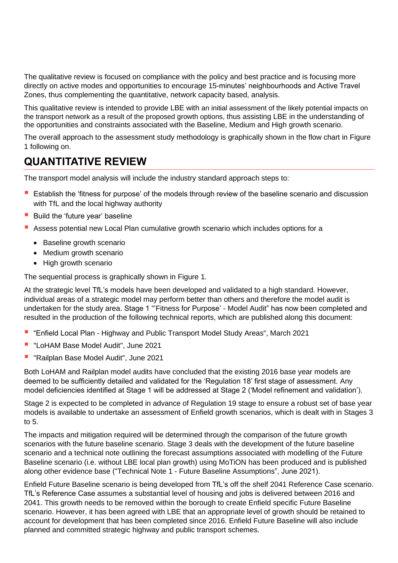The qualitative review is focused on compliance with the policy and best practice and is focusing more directly on active modes and opportunities to encourage 15-minutes' neighbourhoods and Active Travel Zones, thus complementing the quantitative, network capacity based, analysis.

This qualitative review is intended to provide LBE with an initial assessment of the likely potential impacts on the transport network as a result of the proposed growth options, thus assisting LBE in the understanding of the opportunities and constraints associated with the Baseline, Medium and High growth scenario.

The overall approach to the assessment study methodology is graphically shown in the flow chart in [Figure](#page-2-0)  [1](#page-2-0) following on.

#### **QUANTITATIVE REVIEW**

The transport model analysis will include the industry standard approach steps to:

- Establish the 'fitness for purpose' of the models through review of the baseline scenario and discussion with TfL and the local highway authority
- Build the 'future year' baseline
- Assess potential new Local Plan cumulative growth scenario which includes options for a
	- Baseline growth scenario
	- Medium growth scenario
	- High growth scenario

The sequential process is graphically shown in [Figure 1.](#page-2-0)

At the strategic level TfL's models have been developed and validated to a high standard. However, individual areas of a strategic model may perform better than others and therefore the model audit is undertaken for the study area. Stage 1 "'Fitness for Purpose' - Model Audit" has now been completed and resulted in the production of the following technical reports, which are published along this document:

- "Enfield Local Plan Highway and Public Transport Model Study Areas", March 2021
- "LoHAM Base Model Audit", June 2021
- "Railplan Base Model Audit", June 2021

Both LoHAM and Railplan model audits have concluded that the existing 2016 base year models are deemed to be sufficiently detailed and validated for the 'Regulation 18' first stage of assessment. Any model deficiencies identified at Stage 1 will be addressed at Stage 2 ('Model refinement and validation').

Stage 2 is expected to be completed in advance of Regulation 19 stage to ensure a robust set of base year models is available to undertake an assessment of Enfield growth scenarios, which is dealt with in Stages 3 to  $5<sub>1</sub>$ 

The impacts and mitigation required will be determined through the comparison of the future growth scenarios with the future baseline scenario. Stage 3 deals with the development of the future baseline scenario and a technical note outlining the forecast assumptions associated with modelling of the Future Baseline scenario (i.e. without LBE local plan growth) using MoTiON has been produced and is published along other evidence base ("Technical Note 1 - Future Baseline Assumptions", June 2021).

Enfield Future Baseline scenario is being developed from TfL's off the shelf 2041 Reference Case scenario. TfL's Reference Case assumes a substantial level of housing and jobs is delivered between 2016 and 2041. This growth needs to be removed within the borough to create Enfield specific Future Baseline scenario. However, it has been agreed with LBE that an appropriate level of growth should be retained to account for development that has been completed since 2016. Enfield Future Baseline will also include planned and committed strategic highway and public transport schemes.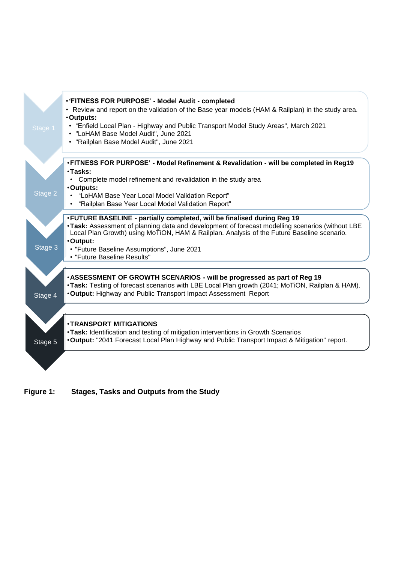

<span id="page-2-0"></span>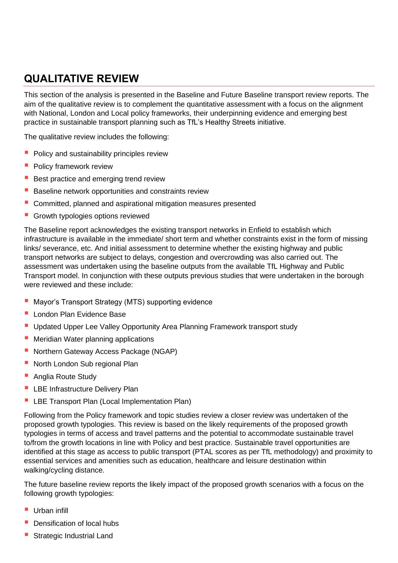## **QUALITATIVE REVIEW**

This section of the analysis is presented in the Baseline and Future Baseline transport review reports. The aim of the qualitative review is to complement the quantitative assessment with a focus on the alignment with National, London and Local policy frameworks, their underpinning evidence and emerging best practice in sustainable transport planning such as TfL's Healthy Streets initiative.

The qualitative review includes the following:

- **Policy and sustainability principles review**
- **Policy framework review**
- Best practice and emerging trend review
- **Baseline network opportunities and constraints review**
- Committed, planned and aspirational mitigation measures presented
- Growth typologies options reviewed

The Baseline report acknowledges the existing transport networks in Enfield to establish which infrastructure is available in the immediate/ short term and whether constraints exist in the form of missing links/ severance, etc. And initial assessment to determine whether the existing highway and public transport networks are subject to delays, congestion and overcrowding was also carried out. The assessment was undertaken using the baseline outputs from the available TfL Highway and Public Transport model. In conjunction with these outputs previous studies that were undertaken in the borough were reviewed and these include:

- Mayor's Transport Strategy (MTS) supporting evidence
- London Plan Evidence Base
- Updated Upper Lee Valley Opportunity Area Planning Framework transport study
- Meridian Water planning applications
- Northern Gateway Access Package (NGAP)
- North London Sub regional Plan
- Anglia Route Study
- **E** LBE Infrastructure Delivery Plan
- **LBE Transport Plan (Local Implementation Plan)**

Following from the Policy framework and topic studies review a closer review was undertaken of the proposed growth typologies. This review is based on the likely requirements of the proposed growth typologies in terms of access and travel patterns and the potential to accommodate sustainable travel to/from the growth locations in line with Policy and best practice. Sustainable travel opportunities are identified at this stage as access to public transport (PTAL scores as per TfL methodology) and proximity to essential services and amenities such as education, healthcare and leisure destination within walking/cycling distance.

The future baseline review reports the likely impact of the proposed growth scenarios with a focus on the following growth typologies:

- $\blacksquare$  Urban infill
- Densification of local hubs
- **Strategic Industrial Land**